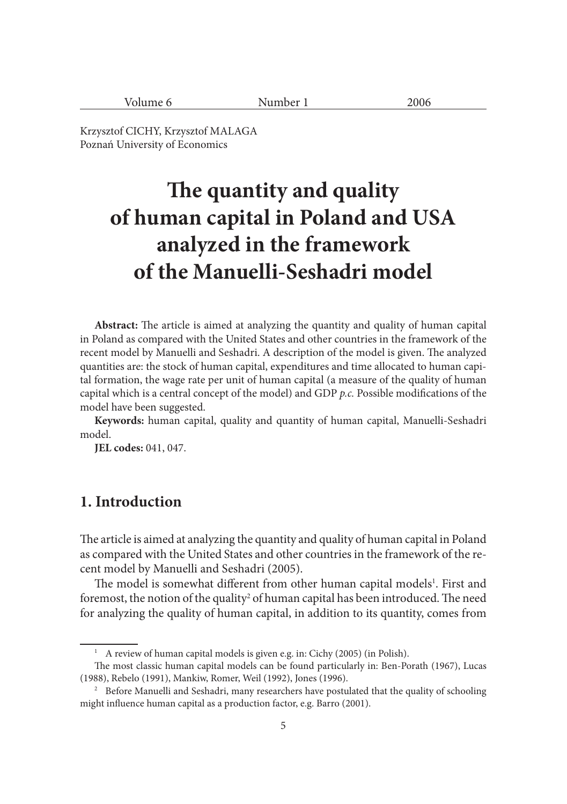| 2006<br>umber 1<br>olume<br>NUIT |  |
|----------------------------------|--|
|----------------------------------|--|

Krzysztof CICHY, Krzysztof MALAGA Poznań University of Economics

# **The quantity and quality of human capital in Poland and USA analyzed in the framework of the Manuelli-Seshadri model**

**Abstract:** The article is aimed at analyzing the quantity and quality of human capital in Poland as compared with the United States and other countries in the framework of the recent model by Manuelli and Seshadri. A description of the model is given. The analyzed quantities are: the stock of human capital, expenditures and time allocated to human capital formation, the wage rate per unit of human capital (a measure of the quality of human capital which is a central concept of the model) and GDP *p.c.* Possible modifications of the model have been suggested.

**Keywords:** human capital, quality and quantity of human capital, Manuelli-Seshadri model.

**JEL codes:** 041, 047.

# **1. Introduction**

The article is aimed at analyzing the quantity and quality of human capital in Poland as compared with the United States and other countries in the framework of the recent model by Manuelli and Seshadri (2005).

The model is somewhat different from other human capital models<sup>1</sup>. First and foremost, the notion of the quality<sup>2</sup> of human capital has been introduced. The need for analyzing the quality of human capital, in addition to its quantity, comes from

<sup>&</sup>lt;sup>1</sup> A review of human capital models is given e.g. in: Cichy (2005) (in Polish).

The most classic human capital models can be found particularly in: Ben-Porath (1967), Lucas (1988), Rebelo (1991), Mankiw, Romer, Weil (1992), Jones (1996).

<sup>&</sup>lt;sup>2</sup> Before Manuelli and Seshadri, many researchers have postulated that the quality of schooling might influence human capital as a production factor, e.g. Barro (2001).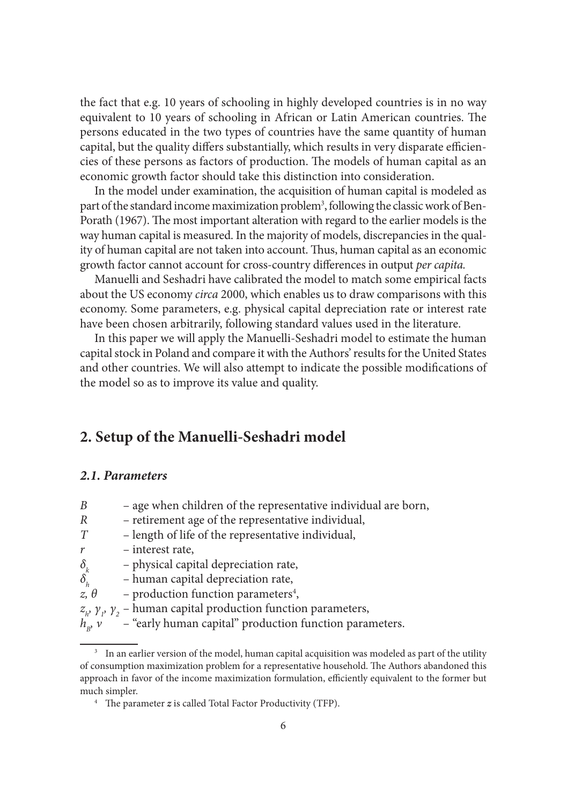the fact that e.g. 10 years of schooling in highly developed countries is in no way equivalent to 10 years of schooling in African or Latin American countries. The persons educated in the two types of countries have the same quantity of human capital, but the quality differs substantially, which results in very disparate efficiencies of these persons as factors of production. The models of human capital as an economic growth factor should take this distinction into consideration.

In the model under examination, the acquisition of human capital is modeled as part of the standard income maximization problem<sup>3</sup>, following the classic work of Ben-Porath (1967). The most important alteration with regard to the earlier models is the way human capital is measured. In the majority of models, discrepancies in the quality of human capital are not taken into account. Thus, human capital as an economic growth factor cannot account for cross-country differences in output *per capita*.

Manuelli and Seshadri have calibrated the model to match some empirical facts about the US economy *circa* 2000, which enables us to draw comparisons with this economy. Some parameters, e.g. physical capital depreciation rate or interest rate have been chosen arbitrarily, following standard values used in the literature.

In this paper we will apply the Manuelli-Seshadri model to estimate the human capital stock in Poland and compare it with the Authors' results for the United States and other countries. We will also attempt to indicate the possible modifications of the model so as to improve its value and quality.

# **2. Setup of the Manuelli-Seshadri model**

#### *2.1. Parameters*

| B                                  | - age when children of the representative individual are born,                            |
|------------------------------------|-------------------------------------------------------------------------------------------|
| R                                  | - retirement age of the representative individual,                                        |
| T                                  | - length of life of the representative individual,                                        |
| r                                  | - interest rate,                                                                          |
| $\delta_{\scriptscriptstyle k}$    | - physical capital depreciation rate,                                                     |
| $\delta_{\scriptscriptstyle\rm L}$ | - human capital depreciation rate,                                                        |
| $z, \theta$                        | - production function parameters <sup>4</sup> ,                                           |
|                                    | $z_{\mu}$ , $\gamma_{\nu}$ , $\gamma_{2}$ – human capital production function parameters, |
| $h_{\nu}$ $\nu$                    | - "early human capital" production function parameters.                                   |

<sup>&</sup>lt;sup>3</sup> In an earlier version of the model, human capital acquisition was modeled as part of the utility of consumption maximization problem for a representative household. The Authors abandoned this approach in favor of the income maximization formulation, efficiently equivalent to the former but much simpler.

<sup>&</sup>lt;sup>4</sup> The parameter  $z$  is called Total Factor Productivity (TFP).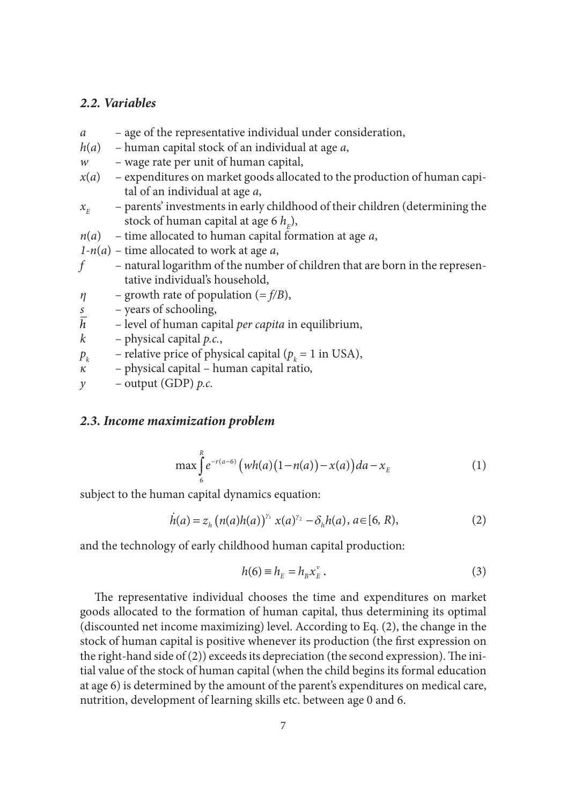## *2.2. Variables*

- *a* age of the representative individual under consideration,
- *h*(*a*) human capital stock of an individual at age *a*,
- *w* wage rate per unit of human capital,
- $x(a)$  expenditures on market goods allocated to the production of human capital of an individual at age *a*,
- $x_{E}$  – parents' investments in early childhood of their children (determining the stock of human capital at age 6  $h_{\scriptscriptstyle E}^{}$ ),
- *n*(*a*) time allocated to human capital formation at age *a*,
- *1-n*(*a*) time allocated to work at age *a*,
- *f* natural logarithm of the number of children that are born in the representative individual's household,
- *η* growth rate of population (= *f/B*),
- *s* years of schooling,
- $\bar{h}$  level of human capital *per capita* in equilibrium,
- *k* physical capital *p.c.*,
- $p_k$ – relative price of physical capital ( $p_k$  = 1 in USA),
- *κ* physical capital human capital ratio,
- *y* output (GDP) *p.c.*

#### *2.3. Income maximization problem*

$$
\max_{6} \int_{6}^{R} e^{-r(a-6)} \left( wh(a)(1-n(a)) - x(a) \right) da - x_{E}
$$
 (1)

subject to the human capital dynamics equation:

$$
\dot{h}(a) = z_h \left( n(a)h(a) \right)^{\gamma_1} x(a)^{\gamma_2} - \delta_h h(a), a \in [6, R), \tag{2}
$$

and the technology of early childhood human capital production:

$$
h(6) \equiv h_E = h_B x_E^{\nu} \,. \tag{3}
$$

The representative individual chooses the time and expenditures on market goods allocated to the formation of human capital, thus determining its optimal (discounted net income maximizing) level. According to Eq. (2), the change in the stock of human capital is positive whenever its production (the first expression on the right-hand side of  $(2)$ ) exceeds its depreciation (the second expression). The initial value of the stock of human capital (when the child begins its formal education at age 6) is determined by the amount of the parent's expenditures on medical care, nutrition, development of learning skills etc. between age 0 and 6.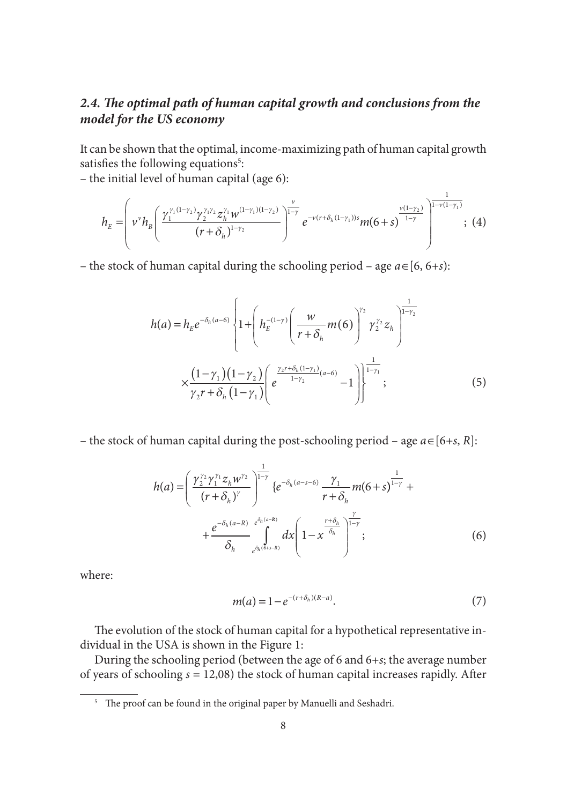# 2.4. The optimal path of human capital growth and conclusions from the *model for the US economy*

It can be shown that the optimal, income-maximizing path of human capital growth satisfies the following equations<sup>5</sup>:

– the initial level of human capital (age 6):

$$
h_E = \left( v^{\nu} h_B \left( \frac{\gamma_1^{\gamma_1 (1-\gamma_2)} \gamma_2^{\gamma_1 \gamma_2} z_h^{\gamma_1} w^{(1-\gamma_1)(1-\gamma_2)}}{(r+\delta_h)^{1-\gamma_2}} \right)^{\frac{\nu}{1-\gamma}} e^{-v(r+\delta_h(1-\gamma_1))s} m(6+s)^{\frac{\nu(1-\gamma_2)}{1-\gamma}} \right)^{\frac{1}{1-\nu(1-\gamma_1)}}, (4)
$$

– the stock of human capital during the schooling period – age *a*∈[6, 6*+s*):

$$
h(a) = h_E e^{-\delta_h(a-6)} \left\{ 1 + \left( h_E^{-(1-\gamma)} \left( \frac{w}{r+\delta_h} m(6) \right)^{\gamma_2} \gamma_2^{\gamma_2} z_h \right)^{\frac{1}{1-\gamma_2}} \right\}
$$

$$
\times \frac{(1-\gamma_1)(1-\gamma_2)}{\gamma_2 r + \delta_h (1-\gamma_1)} \left( e^{\frac{\gamma_2 r + \delta_h (1-\gamma_1)}{1-\gamma_2} (a-6)} - 1 \right)^{\frac{1}{1-\gamma_1}}; \tag{5}
$$

– the stock of human capital during the post-schooling period – age *a*∈[6*+s*, *R*]:

$$
h(a) = \left(\frac{\gamma_2^{\gamma_2} \gamma_1^{\gamma_1} z_h w^{\gamma_2}}{(r + \delta_h)^\gamma}\right)^{\frac{1}{1 - \gamma}} \{e^{-\delta_h (a - s - 6)} \frac{\gamma_1}{r + \delta_h} m(6 + s)^{1 - \gamma} + \\ + \frac{e^{-\delta_h (a - R)}}{\delta_h} e^{\delta_h (a - s)}} dx \left(1 - x^{\frac{r + \delta_h}{\delta_h}}\right)^{\frac{\gamma}{1 - \gamma}}; \tag{6}
$$

where:

$$
m(a) = 1 - e^{-(r + \delta_h)(R - a)}.
$$
 (7)

The evolution of the stock of human capital for a hypothetical representative individual in the USA is shown in the Figure 1:

During the schooling period (between the age of 6 and 6+*s*; the average number of years of schooling  $s = 12,08$ ) the stock of human capital increases rapidly. After

<sup>&</sup>lt;sup>5</sup> The proof can be found in the original paper by Manuelli and Seshadri.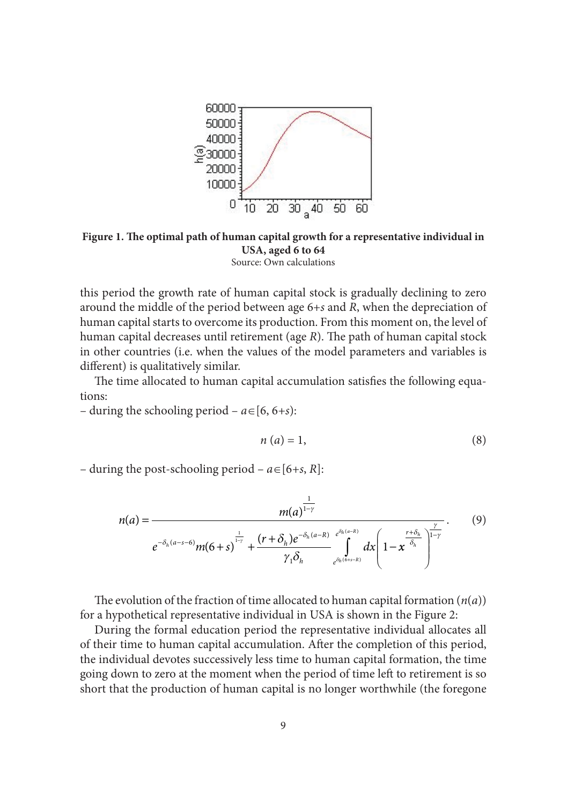

Figure 1. The optimal path of human capital growth for a representative individual in **USA, aged 6 to 64** Source: Own calculations

this period the growth rate of human capital stock is gradually declining to zero around the middle of the period between age 6+*s* and *R*, when the depreciation of human capital starts to overcome its production. From this moment on, the level of human capital decreases until retirement (age *R*). The path of human capital stock in other countries (i.e. when the values of the model parameters and variables is different) is qualitatively similar.

The time allocated to human capital accumulation satisfies the following equations:

– during the schooling period – *a*∈[6, 6*+s*):

$$
n(a) = 1,\tag{8}
$$

– during the post-schooling period – *a*∈[6*+s*, *R*]:

$$
n(a) = \frac{m(a)^{\frac{1}{1-\gamma}}}{e^{-\delta_h(a-s-6)}m(6+s)^{\frac{1}{1-\gamma}} + \frac{(r+\delta_h)e^{-\delta_h(a-R)}e^{\delta_h(a-R)}}{\gamma_1\delta_h}e^{\delta_h(b+s-R)}}dx\left(1-x^{\frac{r+\delta_h}{\delta_h}}\right)^{\frac{\gamma}{1-\gamma}}.
$$
(9)

The evolution of the fraction of time allocated to human capital formation  $(n(a))$ for a hypothetical representative individual in USA is shown in the Figure 2:

During the formal education period the representative individual allocates all of their time to human capital accumulation. After the completion of this period, the individual devotes successively less time to human capital formation, the time going down to zero at the moment when the period of time left to retirement is so short that the production of human capital is no longer worthwhile (the foregone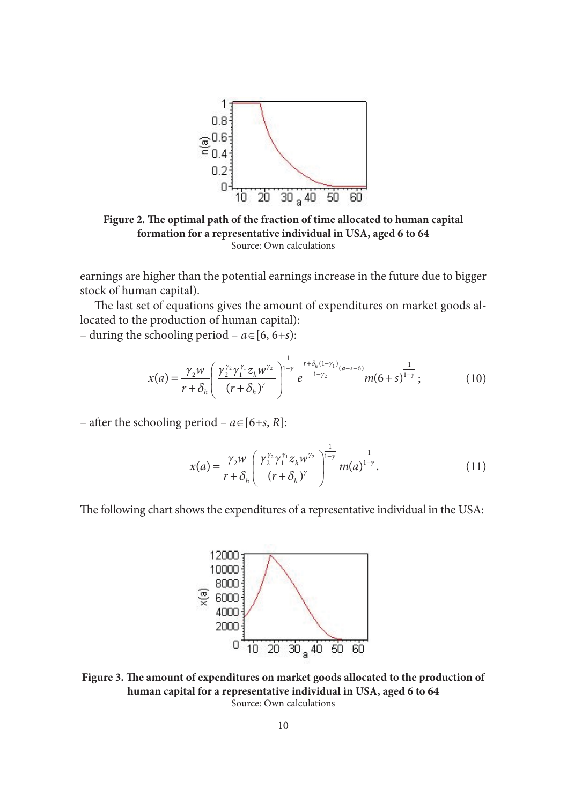

Figure 2. The optimal path of the fraction of time allocated to human capital **formation for a representative individual in USA, aged 6 to 64** Source: Own calculations

earnings are higher than the potential earnings increase in the future due to bigger stock of human capital).

The last set of equations gives the amount of expenditures on market goods allocated to the production of human capital):

– during the schooling period – *a*∈[6, 6*+s*):

$$
x(a) = \frac{\gamma_2 w}{r + \delta_h} \left( \frac{\gamma_2^{\gamma_2} \gamma_1^{\gamma_1} z_h w^{\gamma_2}}{(r + \delta_h)^\gamma} \right)^{\frac{1}{1 - \gamma}} e^{\frac{r + \delta_h (1 - \gamma_1)}{1 - \gamma_2} (a - s - 6)} m(6 + s)^{\frac{1}{1 - \gamma}}; \tag{10}
$$

– after the schooling period –  $a \in [6+s, R]$ :

$$
x(a) = \frac{\gamma_2 w}{r + \delta_h} \left( \frac{\gamma_2^{\gamma_2} \gamma_1^{\gamma_1} z_h w^{\gamma_2}}{(r + \delta_h)^{\gamma}} \right)^{\frac{1}{1 - \gamma}} m(a)^{\frac{1}{1 - \gamma}}.
$$
 (11)

The following chart shows the expenditures of a representative individual in the USA:



Figure 3. The amount of expenditures on market goods allocated to the production of **human capital for a representative individual in USA, aged 6 to 64** Source: Own calculations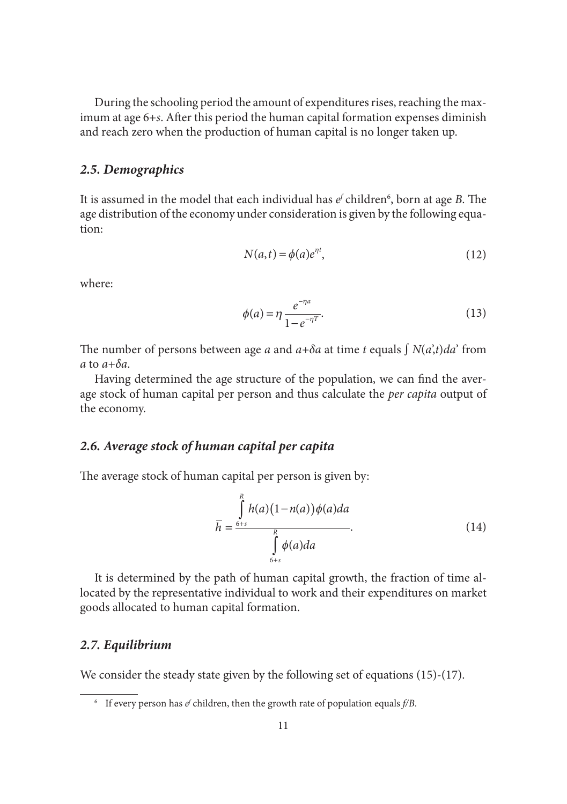During the schooling period the amount of expenditures rises, reaching the maximum at age 6+*s*. After this period the human capital formation expenses diminish and reach zero when the production of human capital is no longer taken up.

#### *2.5. Demographics*

It is assumed in the model that each individual has  $e^{\prime}$  children<sup>6</sup>, born at age *B*. The age distribution of the economy under consideration is given by the following equation:

$$
N(a,t) = \phi(a)e^{\eta t},\tag{12}
$$

where:

$$
\phi(a) = \eta \frac{e^{-\eta a}}{1 - e^{-\eta T}}.
$$
\n(13)

The number of persons between age *a* and  $a+\delta a$  at time *t* equals  $\int N(a,t)da'$  from *a* to *a+δa*.

Having determined the age structure of the population, we can find the average stock of human capital per person and thus calculate the *per capita* output of the economy.

## *2.6. Average stock of human capital per capita*

The average stock of human capital per person is given by:

$$
\overline{h} = \frac{\int_{6+s}^{R} h(a)(1 - n(a))\phi(a)da}{\int_{6+s}^{R} \phi(a)da}.
$$
\n(14)

It is determined by the path of human capital growth, the fraction of time allocated by the representative individual to work and their expenditures on market goods allocated to human capital formation.

### *2.7. Equilibrium*

We consider the steady state given by the following set of equations (15)-(17).

 $^6$  If every person has  $e^f$  children, then the growth rate of population equals  $f/B$ .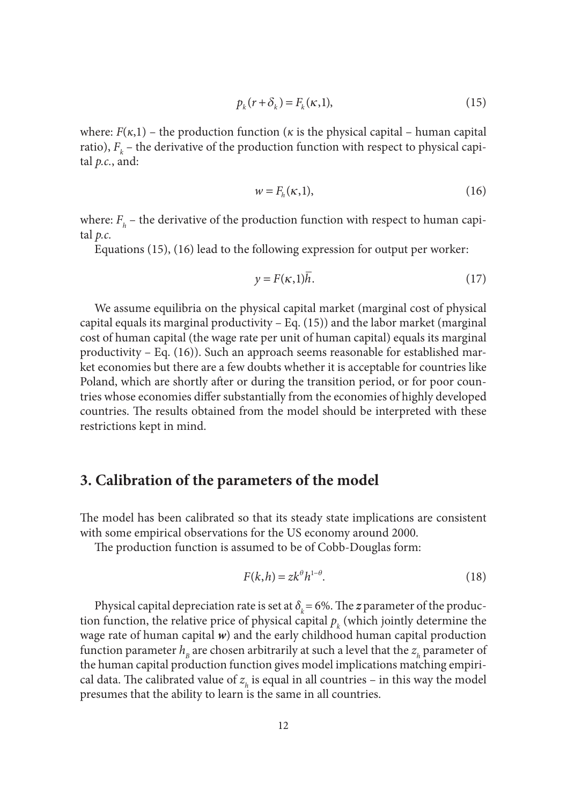$$
p_k(r+\delta_k) = F_k(\kappa,1),\tag{15}
$$

where:  $F(\kappa,1)$  – the production function ( $\kappa$  is the physical capital – human capital ratio),  $F_k$  – the derivative of the production function with respect to physical capital *p.c.*, and:

$$
w = F_h(\kappa, 1),\tag{16}
$$

where:  $F_h$  – the derivative of the production function with respect to human capital *p.c.*

Equations (15), (16) lead to the following expression for output per worker:

$$
y = F(\kappa, 1)h. \tag{17}
$$

We assume equilibria on the physical capital market (marginal cost of physical capital equals its marginal productivity  $-$  Eq. (15)) and the labor market (marginal cost of human capital (the wage rate per unit of human capital) equals its marginal productivity – Eq. (16)). Such an approach seems reasonable for established market economies but there are a few doubts whether it is acceptable for countries like Poland, which are shortly after or during the transition period, or for poor countries whose economies differ substantially from the economies of highly developed countries. The results obtained from the model should be interpreted with these restrictions kept in mind.

## **3. Calibration of the parameters of the model**

The model has been calibrated so that its steady state implications are consistent with some empirical observations for the US economy around 2000.

The production function is assumed to be of Cobb-Douglas form:

$$
F(k,h) = zk^{\theta}h^{1-\theta}.
$$
 (18)

Physical capital depreciation rate is set at  $\delta_k$  = 6%. The *z* parameter of the production function, the relative price of physical capital  $p_k$  (which jointly determine the wage rate of human capital *w*) and the early childhood human capital production function parameter  $h_{\scriptscriptstyle B}$  are chosen arbitrarily at such a level that the  $z_{\scriptscriptstyle h}$  parameter of the human capital production function gives model implications matching empirical data. The calibrated value of  $z<sub>h</sub>$  is equal in all countries – in this way the model presumes that the ability to learn is the same in all countries.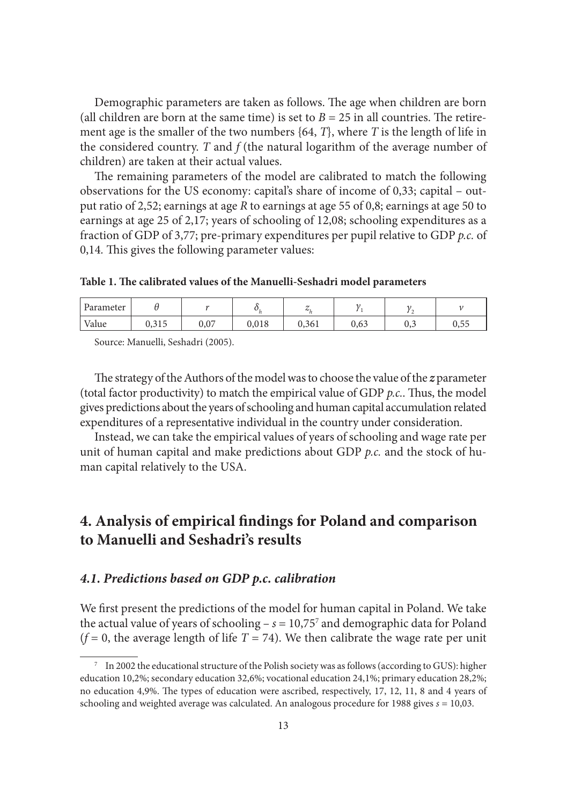Demographic parameters are taken as follows. The age when children are born (all children are born at the same time) is set to  $B = 25$  in all countries. The retirement age is the smaller of the two numbers {64, *T*}, where *T* is the length of life in the considered country. *T* and *f* (the natural logarithm of the average number of children) are taken at their actual values.

The remaining parameters of the model are calibrated to match the following observations for the US economy: capital's share of income of 0,33; capital – output ratio of 2,52; earnings at age *R* to earnings at age 55 of 0,8; earnings at age 50 to earnings at age 25 of 2,17; years of schooling of 12,08; schooling expenditures as a fraction of GDP of 3,77; pre-primary expenditures per pupil relative to GDP *p.c.* of 0,14. This gives the following parameter values:

Table 1. The calibrated values of the Manuelli-Seshadri model parameters

| Parameter |                          |      |       | $\sim\cdot$ |      |     |      |
|-----------|--------------------------|------|-------|-------------|------|-----|------|
| Value     | 21 <sub>5</sub><br>0,010 | 0,07 | 0,018 | 0,361       | 0,63 | U.J | 0,55 |

Source: Manuelli, Seshadri (2005).

The strategy of the Authors of the model was to choose the value of the *z* parameter (total factor productivity) to match the empirical value of GDP *p.c.*. Thus, the model gives predictions about the years of schooling and human capital accumulation related expenditures of a representative individual in the country under consideration.

Instead, we can take the empirical values of years of schooling and wage rate per unit of human capital and make predictions about GDP *p.c.* and the stock of human capital relatively to the USA.

# **4. Analysis of empirical findings for Poland and comparison to Manuelli and Seshadri's results**

#### *4.1. Predictions based on GDP p.c. calibration*

We first present the predictions of the model for human capital in Poland. We take the actual value of years of schooling  $- s = 10,75<sup>7</sup>$  and demographic data for Poland  $(f = 0)$ , the average length of life  $T = 74$ ). We then calibrate the wage rate per unit

<sup>7</sup> In 2002 the educational structure of the Polish society was as follows (according to GUS): higher education 10,2%; secondary education 32,6%; vocational education 24,1%; primary education 28,2%; no education 4,9%. The types of education were ascribed, respectively, 17, 12, 11, 8 and 4 years of schooling and weighted average was calculated. An analogous procedure for 1988 gives *s* = 10,03.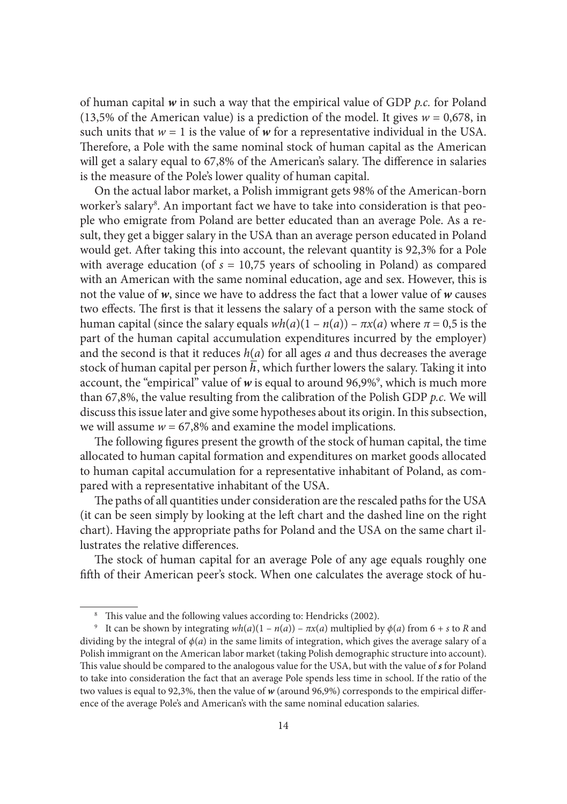of human capital *w* in such a way that the empirical value of GDP *p.c.* for Poland (13,5% of the American value) is a prediction of the model. It gives  $w = 0.678$ , in such units that  $w = 1$  is the value of  $w$  for a representative individual in the USA. Therefore, a Pole with the same nominal stock of human capital as the American will get a salary equal to 67,8% of the American's salary. The difference in salaries is the measure of the Pole's lower quality of human capital.

On the actual labor market, a Polish immigrant gets 98% of the American-born worker's salary<sup>8</sup>. An important fact we have to take into consideration is that people who emigrate from Poland are better educated than an average Pole. As a result, they get a bigger salary in the USA than an average person educated in Poland would get. After taking this into account, the relevant quantity is 92,3% for a Pole with average education (of  $s = 10,75$  years of schooling in Poland) as compared with an American with the same nominal education, age and sex. However, this is not the value of *w*, since we have to address the fact that a lower value of *w* causes two effects. The first is that it lessens the salary of a person with the same stock of human capital (since the salary equals  $wh(a)(1 - n(a)) - \pi x(a)$  where  $\pi = 0.5$  is the part of the human capital accumulation expenditures incurred by the employer) and the second is that it reduces  $h(a)$  for all ages  $a$  and thus decreases the average stock of human capital per person *h*, which further lowers the salary. Taking it into account, the "empirical" value of w is equal to around 96,9%<sup>9</sup>, which is much more than 67,8%, the value resulting from the calibration of the Polish GDP *p.c.* We will discuss this issue later and give some hypotheses about its origin. In this subsection, we will assume  $w = 67,8\%$  and examine the model implications.

The following figures present the growth of the stock of human capital, the time allocated to human capital formation and expenditures on market goods allocated to human capital accumulation for a representative inhabitant of Poland, as compared with a representative inhabitant of the USA.

The paths of all quantities under consideration are the rescaled paths for the USA (it can be seen simply by looking at the left chart and the dashed line on the right chart). Having the appropriate paths for Poland and the USA on the same chart illustrates the relative differences.

The stock of human capital for an average Pole of any age equals roughly one fifth of their American peer's stock. When one calculates the average stock of hu-

<sup>&</sup>lt;sup>8</sup> This value and the following values according to: Hendricks (2002).

<sup>&</sup>lt;sup>9</sup> It can be shown by integrating  $wh(a)(1 - n(a)) - \pi x(a)$  multiplied by  $\phi(a)$  from 6 + *s* to *R* and dividing by the integral of  $\phi(a)$  in the same limits of integration, which gives the average salary of a Polish immigrant on the American labor market (taking Polish demographic structure into account). This value should be compared to the analogous value for the USA, but with the value of *s* for Poland to take into consideration the fact that an average Pole spends less time in school. If the ratio of the two values is equal to 92,3%, then the value of *w* (around 96,9%) corresponds to the empirical difference of the average Pole's and American's with the same nominal education salaries.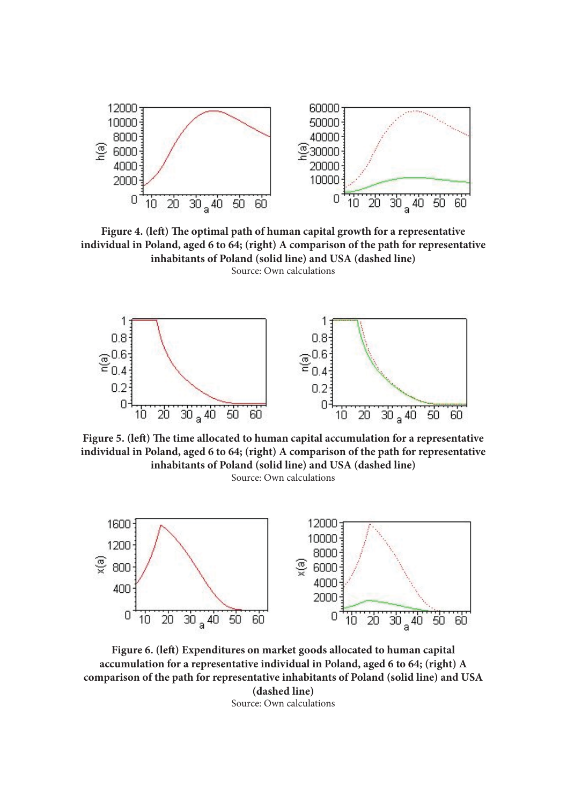

Figure 4. (left) The optimal path of human capital growth for a representative **individual in Poland, aged 6 to 64; (right) A comparison of the path for representative inhabitants of Poland (solid line) and USA (dashed line)** Source: Own calculations



Figure 5. (left) The time allocated to human capital accumulation for a representative **individual in Poland, aged 6 to 64; (right) A comparison of the path for representative inhabitants of Poland (solid line) and USA (dashed line)** Source: Own calculations



Figure 6. (left) Expenditures on market goods allocated to human capital **accumulation for a representative individual in Poland, aged 6 to 64; (right) A comparison of the path for representative inhabitants of Poland (solid line) and USA (dashed line)** Source: Own calculations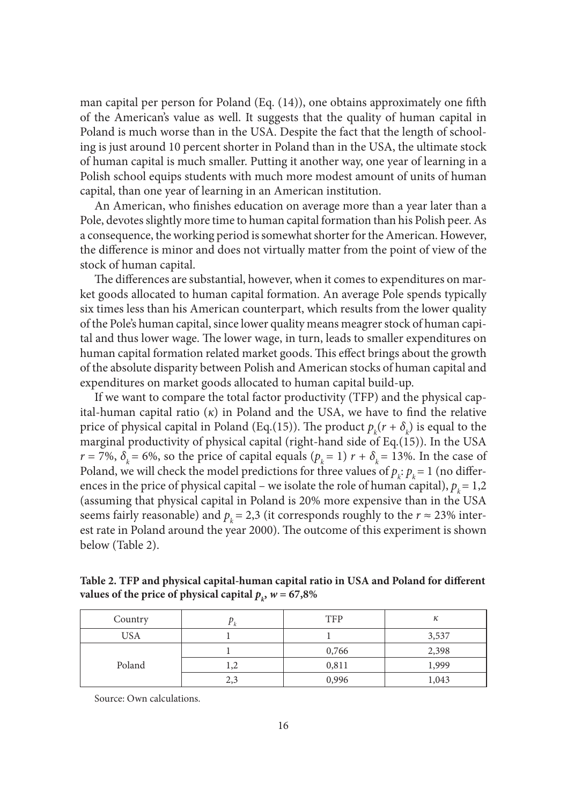man capital per person for Poland (Eq.  $(14)$ ), one obtains approximately one fifth of the American's value as well. It suggests that the quality of human capital in Poland is much worse than in the USA. Despite the fact that the length of schooling is just around 10 percent shorter in Poland than in the USA, the ultimate stock of human capital is much smaller. Putting it another way, one year of learning in a Polish school equips students with much more modest amount of units of human capital, than one year of learning in an American institution.

An American, who finishes education on average more than a year later than a Pole, devotes slightly more time to human capital formation than his Polish peer. As a consequence, the working period is somewhat shorter for the American. However, the difference is minor and does not virtually matter from the point of view of the stock of human capital.

The differences are substantial, however, when it comes to expenditures on market goods allocated to human capital formation. An average Pole spends typically six times less than his American counterpart, which results from the lower quality of the Pole's human capital, since lower quality means meagrer stock of human capital and thus lower wage. The lower wage, in turn, leads to smaller expenditures on human capital formation related market goods. This effect brings about the growth of the absolute disparity between Polish and American stocks of human capital and expenditures on market goods allocated to human capital build-up.

If we want to compare the total factor productivity (TFP) and the physical capital-human capital ratio  $(\kappa)$  in Poland and the USA, we have to find the relative price of physical capital in Poland (Eq.(15)). The product  $p_k(r + \delta_k)$  is equal to the marginal productivity of physical capital (right-hand side of Eq.(15)). In the USA  $r = 7\%, \delta_k = 6\%,$  so the price of capital equals  $(p_k = 1)$   $r + \delta_k = 13\%$ . In the case of Poland, we will check the model predictions for three values of  $p_k$ :  $p_k$  = 1 (no differences in the price of physical capital – we isolate the role of human capital),  $p_k = 1,2$ (assuming that physical capital in Poland is 20% more expensive than in the USA seems fairly reasonable) and  $p_k = 2.3$  (it corresponds roughly to the  $r \approx 23\%$  interest rate in Poland around the year 2000). The outcome of this experiment is shown below (Table 2).

Table 2. TFP and physical capital-human capital ratio in USA and Poland for different **values of the price of physical capital**  $p_k$ **,**  $w = 67,8\%$ 

| Country    | Γk  | <b>TFP</b> | к     |
|------------|-----|------------|-------|
| <b>USA</b> |     |            | 3,537 |
| Poland     |     | 0,766      | 2,398 |
|            | 1,2 | 0,811      | 1,999 |
|            | 2,3 | 0,996      | 1,043 |

Source: Own calculations.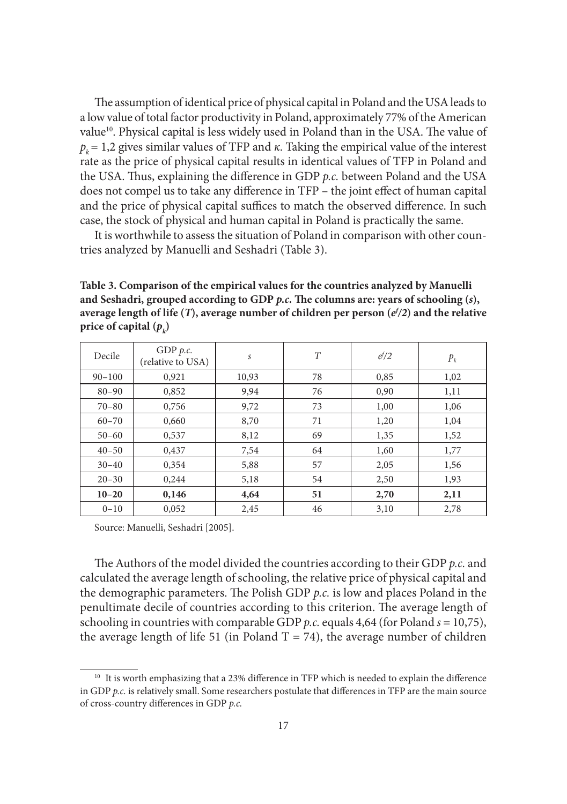The assumption of identical price of physical capital in Poland and the USA leads to a low value of total factor productivity in Poland, approximately 77% of the American value<sup>10</sup>. Physical capital is less widely used in Poland than in the USA. The value of  $p_k = 1.2$  gives similar values of TFP and  $\kappa$ . Taking the empirical value of the interest rate as the price of physical capital results in identical values of TFP in Poland and the USA. Thus, explaining the difference in GDP p.c. between Poland and the USA does not compel us to take any difference in TFP – the joint effect of human capital and the price of physical capital suffices to match the observed difference. In such case, the stock of physical and human capital in Poland is practically the same.

It is worthwhile to assess the situation of Poland in comparison with other countries analyzed by Manuelli and Seshadri (Table 3).

**Table 3. Comparison of the empirical values for the countries analyzed by Manuelli**  and Seshadri, grouped according to GDP *p.c.* The columns are: years of schooling  $(s)$ , **average length of life (***T***), average number of children per person (***ef /2***) and the relative price of capital**  $(p_k)$ 

| Decile     | GDP $p.c.$<br>(relative to USA) | S     | T  | $e^{f}/2$ | $P_k$ |
|------------|---------------------------------|-------|----|-----------|-------|
| $90 - 100$ | 0,921                           | 10,93 | 78 | 0,85      | 1,02  |
| $80 - 90$  | 0,852                           | 9,94  | 76 | 0,90      | 1,11  |
| $70 - 80$  | 0,756                           | 9,72  | 73 | 1,00      | 1,06  |
| $60 - 70$  | 0,660                           | 8,70  | 71 | 1,20      | 1,04  |
| $50 - 60$  | 0,537                           | 8,12  | 69 | 1,35      | 1,52  |
| $40 - 50$  | 0,437                           | 7,54  | 64 | 1,60      | 1,77  |
| $30 - 40$  | 0.354                           | 5,88  | 57 | 2,05      | 1,56  |
| $20 - 30$  | 0,244                           | 5,18  | 54 | 2,50      | 1,93  |
| $10 - 20$  | 0,146                           | 4,64  | 51 | 2,70      | 2,11  |
| $0 - 10$   | 0,052                           | 2,45  | 46 | 3,10      | 2,78  |

Source: Manuelli, Seshadri [2005].

The Authors of the model divided the countries according to their GDP p.c. and calculated the average length of schooling, the relative price of physical capital and the demographic parameters. The Polish GDP *p.c.* is low and places Poland in the penultimate decile of countries according to this criterion. The average length of schooling in countries with comparable GDP *p.c.* equals 4,64 (for Poland *s* = 10,75), the average length of life 51 (in Poland  $T = 74$ ), the average number of children

<sup>&</sup>lt;sup>10</sup> It is worth emphasizing that a 23% difference in TFP which is needed to explain the difference in GDP *p.c.* is relatively small. Some researchers postulate that differences in TFP are the main source of cross-country differences in GDP *p.c.*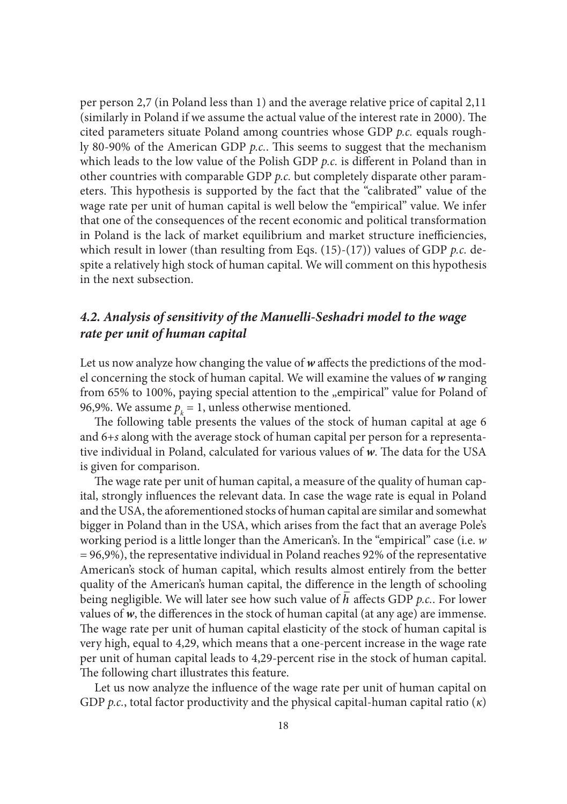per person 2,7 (in Poland less than 1) and the average relative price of capital 2,11 (similarly in Poland if we assume the actual value of the interest rate in 2000). The cited parameters situate Poland among countries whose GDP *p.c.* equals roughly 80-90% of the American GDP *p.c.*. This seems to suggest that the mechanism which leads to the low value of the Polish GDP *p.c.* is different in Poland than in other countries with comparable GDP *p.c.* but completely disparate other parameters. This hypothesis is supported by the fact that the "calibrated" value of the wage rate per unit of human capital is well below the "empirical" value. We infer that one of the consequences of the recent economic and political transformation in Poland is the lack of market equilibrium and market structure inefficiencies, which result in lower (than resulting from Eqs. (15)-(17)) values of GDP *p.c.* despite a relatively high stock of human capital. We will comment on this hypothesis in the next subsection.

# *4.2. Analysis of sensitivity of the Manuelli-Seshadri model to the wage rate per unit of human capital*

Let us now analyze how changing the value of w affects the predictions of the model concerning the stock of human capital. We will examine the values of *w* ranging from 65% to 100%, paying special attention to the "empirical" value for Poland of 96,9%. We assume  $p_k = 1$ , unless otherwise mentioned.

The following table presents the values of the stock of human capital at age 6 and 6+*s* along with the average stock of human capital per person for a representative individual in Poland, calculated for various values of w. The data for the USA is given for comparison.

The wage rate per unit of human capital, a measure of the quality of human capital, strongly influences the relevant data. In case the wage rate is equal in Poland and the USA, the aforementioned stocks of human capital are similar and somewhat bigger in Poland than in the USA, which arises from the fact that an average Pole's working period is a little longer than the American's. In the "empirical" case (i.e. *w*  = 96,9%), the representative individual in Poland reaches 92% of the representative American's stock of human capital, which results almost entirely from the better quality of the American's human capital, the difference in the length of schooling being negligible. We will later see how such value of *h* affects GDP *p.c.*. For lower values of  $w$ , the differences in the stock of human capital (at any age) are immense. The wage rate per unit of human capital elasticity of the stock of human capital is very high, equal to 4,29, which means that a one-percent increase in the wage rate per unit of human capital leads to 4,29-percent rise in the stock of human capital. The following chart illustrates this feature.

Let us now analyze the influence of the wage rate per unit of human capital on GDP *p.c.*, total factor productivity and the physical capital-human capital ratio (*κ*)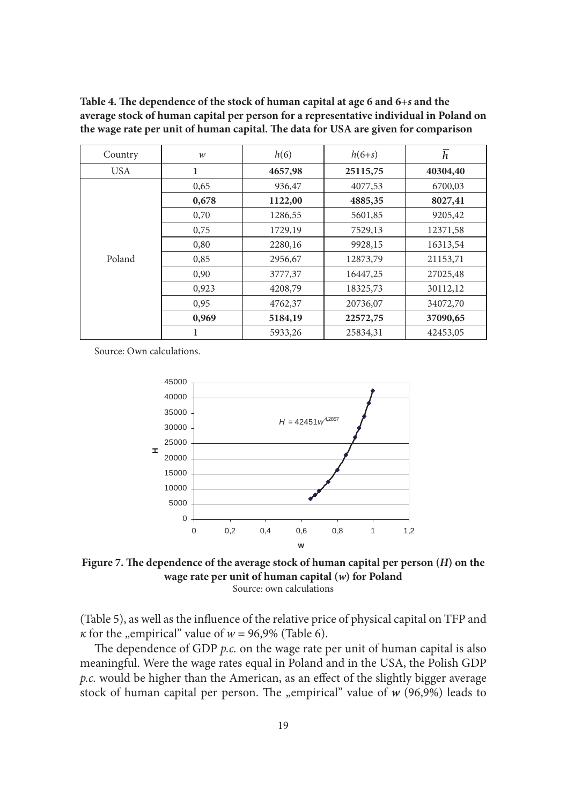| Country    | $\mathcal W$ | h(6)    | $h(6+s)$ | h        |
|------------|--------------|---------|----------|----------|
| <b>USA</b> | 1            | 4657,98 | 25115,75 | 40304,40 |
|            | 0,65         | 936,47  | 4077,53  | 6700,03  |
|            | 0,678        | 1122,00 | 4885,35  | 8027,41  |
|            | 0,70         | 1286,55 | 5601,85  | 9205,42  |
|            | 0,75         | 1729,19 | 7529,13  | 12371,58 |
|            | 0,80         | 2280,16 | 9928,15  | 16313,54 |
| Poland     | 0,85         | 2956,67 | 12873,79 | 21153,71 |
|            | 0,90         | 3777,37 | 16447,25 | 27025,48 |
|            | 0,923        | 4208,79 | 18325,73 | 30112,12 |
|            | 0,95         | 4762,37 | 20736,07 | 34072,70 |
|            | 0,969        | 5184,19 | 22572,75 | 37090,65 |
|            |              | 5933,26 | 25834,31 | 42453,05 |

Table 4. The dependence of the stock of human capital at age 6 and  $6+s$  and the **average stock of human capital per person for a representative individual in Poland on**  the wage rate per unit of human capital. The data for USA are given for comparison

Source: Own calculations.



Figure 7. The dependence of the average stock of human capital per person (*H*) on the **wage rate per unit of human capital (***w***) for Poland** Source: own calculations

(Table 5), as well as the influence of the relative price of physical capital on TFP and *κ* for the "empirical" value of  $w = 96,9\%$  (Table 6).

The dependence of GDP *p.c.* on the wage rate per unit of human capital is also meaningful. Were the wage rates equal in Poland and in the USA, the Polish GDP *p.c.* would be higher than the American, as an effect of the slightly bigger average stock of human capital per person. The "empirical" value of *w* (96,9%) leads to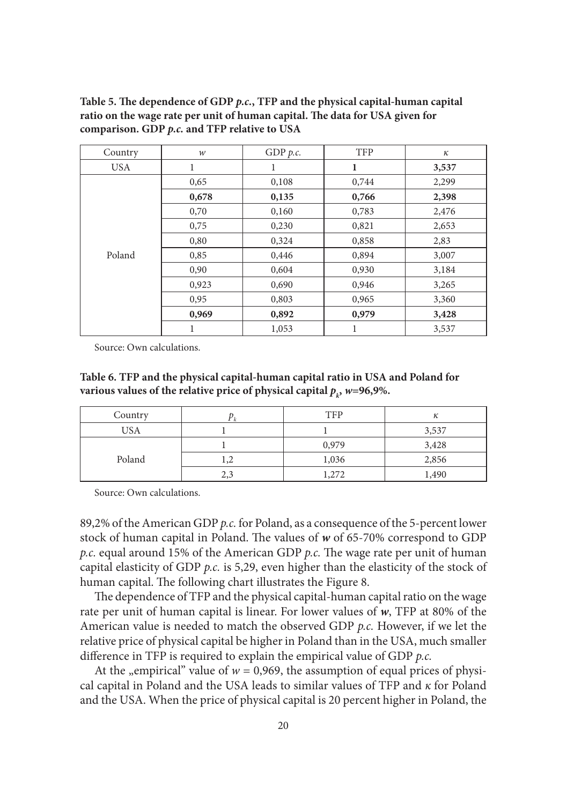| Country    | $\mathcal W$ | GDP $p.c.$ | <b>TFP</b> | $\kappa$ |
|------------|--------------|------------|------------|----------|
| <b>USA</b> | 1            |            | 1          | 3,537    |
|            | 0,65         | 0,108      | 0,744      | 2,299    |
|            | 0,678        | 0,135      | 0,766      | 2,398    |
|            | 0,70         | 0,160      | 0,783      | 2,476    |
|            | 0,75         | 0,230      | 0,821      | 2,653    |
| Poland     | 0,80         | 0,324      | 0,858      | 2,83     |
|            | 0,85         | 0,446      | 0,894      | 3,007    |
|            | 0,90         | 0,604      | 0,930      | 3,184    |
|            | 0,923        | 0,690      | 0,946      | 3,265    |
|            | 0,95         | 0,803      | 0,965      | 3,360    |
|            | 0,969        | 0,892      | 0,979      | 3,428    |
|            | 1            | 1,053      | 1          | 3,537    |

Table 5. The dependence of GDP *p.c.*, TFP and the physical capital-human capital ratio on the wage rate per unit of human capital. The data for USA given for **comparison. GDP** *p.c.* **and TFP relative to USA**

Source: Own calculations.

**Table 6. TFP and the physical capital-human capital ratio in USA and Poland for**  various values of the relative price of physical capital  $p_k$ ,  $w=96,9\%$ .

| Country    |                              | <b>TFP</b> | к     |
|------------|------------------------------|------------|-------|
| <b>USA</b> |                              |            | 3,537 |
| Poland     |                              | 0,979      | 3,428 |
|            | $\overline{1}, \overline{2}$ | 1,036      | 2,856 |
|            | 2,3                          | 1,272      | 1,490 |

Source: Own calculations.

89,2% of the American GDP *p.c.* for Poland, as a consequence of the 5-percent lower stock of human capital in Poland. The values of w of 65-70% correspond to GDP *p.c.* equal around 15% of the American GDP *p.c.* The wage rate per unit of human capital elasticity of GDP *p.c.* is 5,29, even higher than the elasticity of the stock of human capital. The following chart illustrates the Figure 8.

The dependence of TFP and the physical capital-human capital ratio on the wage rate per unit of human capital is linear. For lower values of *w*, TFP at 80% of the American value is needed to match the observed GDP *p.c.* However, if we let the relative price of physical capital be higher in Poland than in the USA, much smaller difference in TFP is required to explain the empirical value of GDP *p.c.* 

At the "empirical" value of  $w = 0.969$ , the assumption of equal prices of physical capital in Poland and the USA leads to similar values of TFP and *κ* for Poland and the USA. When the price of physical capital is 20 percent higher in Poland, the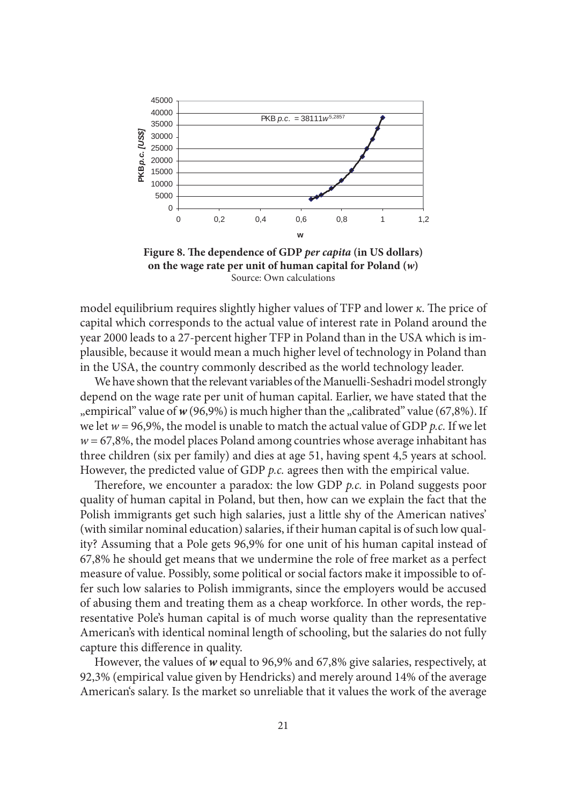

Figure 8. The dependence of GDP *per capita* (in US dollars) **on the wage rate per unit of human capital for Poland (***w***)** Source: Own calculations

model equilibrium requires slightly higher values of TFP and lower *κ*. The price of capital which corresponds to the actual value of interest rate in Poland around the year 2000 leads to a 27-percent higher TFP in Poland than in the USA which is implausible, because it would mean a much higher level of technology in Poland than in the USA, the country commonly described as the world technology leader.

We have shown that the relevant variables of the Manuelli-Seshadri model strongly depend on the wage rate per unit of human capital. Earlier, we have stated that the <sub>"e</sub> empirical" value of *w* (96,9%) is much higher than the "calibrated" value (67,8%). If we let *w* = 96,9%, the model is unable to match the actual value of GDP *p.c.* If we let  $w = 67,8\%$ , the model places Poland among countries whose average inhabitant has three children (six per family) and dies at age 51, having spent 4,5 years at school. However, the predicted value of GDP *p.c.* agrees then with the empirical value.

Therefore, we encounter a paradox: the low GDP *p.c.* in Poland suggests poor quality of human capital in Poland, but then, how can we explain the fact that the Polish immigrants get such high salaries, just a little shy of the American natives' (with similar nominal education) salaries, if their human capital is of such low quality? Assuming that a Pole gets 96,9% for one unit of his human capital instead of 67,8% he should get means that we undermine the role of free market as a perfect measure of value. Possibly, some political or social factors make it impossible to offer such low salaries to Polish immigrants, since the employers would be accused of abusing them and treating them as a cheap workforce. In other words, the representative Pole's human capital is of much worse quality than the representative American's with identical nominal length of schooling, but the salaries do not fully capture this difference in quality.

However, the values of *w* equal to 96,9% and 67,8% give salaries, respectively, at 92,3% (empirical value given by Hendricks) and merely around 14% of the average American's salary. Is the market so unreliable that it values the work of the average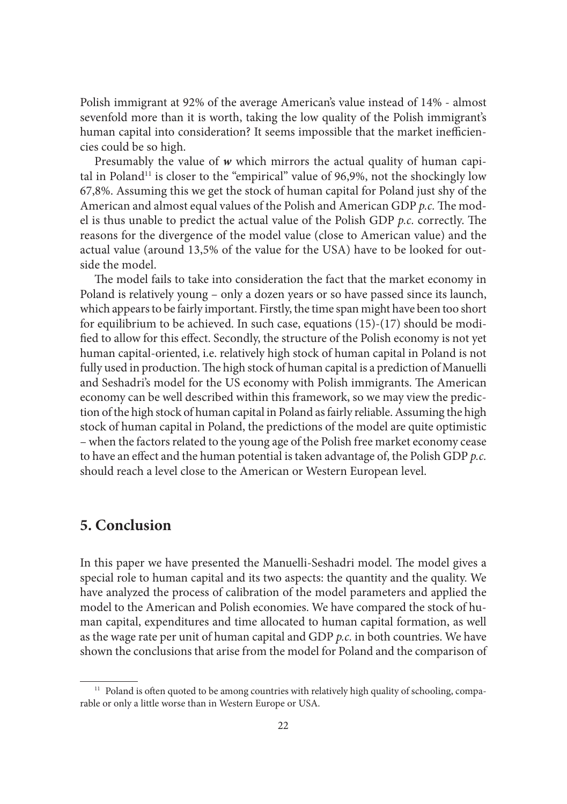Polish immigrant at 92% of the average American's value instead of 14% - almost sevenfold more than it is worth, taking the low quality of the Polish immigrant's human capital into consideration? It seems impossible that the market inefficiencies could be so high.

Presumably the value of *w* which mirrors the actual quality of human capital in Poland<sup>11</sup> is closer to the "empirical" value of 96,9%, not the shockingly low 67,8%. Assuming this we get the stock of human capital for Poland just shy of the American and almost equal values of the Polish and American GDP *p.c.* The model is thus unable to predict the actual value of the Polish GDP *p.c.* correctly. The reasons for the divergence of the model value (close to American value) and the actual value (around 13,5% of the value for the USA) have to be looked for outside the model.

The model fails to take into consideration the fact that the market economy in Poland is relatively young – only a dozen years or so have passed since its launch, which appears to be fairly important. Firstly, the time span might have been too short for equilibrium to be achieved. In such case, equations (15)-(17) should be modified to allow for this effect. Secondly, the structure of the Polish economy is not yet human capital-oriented, i.e. relatively high stock of human capital in Poland is not fully used in production. The high stock of human capital is a prediction of Manuelli and Seshadri's model for the US economy with Polish immigrants. The American economy can be well described within this framework, so we may view the prediction of the high stock of human capital in Poland as fairly reliable. Assuming the high stock of human capital in Poland, the predictions of the model are quite optimistic – when the factors related to the young age of the Polish free market economy cease to have an effect and the human potential is taken advantage of, the Polish GDP *p.c.* should reach a level close to the American or Western European level.

# **5. Conclusion**

In this paper we have presented the Manuelli-Seshadri model. The model gives a special role to human capital and its two aspects: the quantity and the quality. We have analyzed the process of calibration of the model parameters and applied the model to the American and Polish economies. We have compared the stock of human capital, expenditures and time allocated to human capital formation, as well as the wage rate per unit of human capital and GDP *p.c.* in both countries. We have shown the conclusions that arise from the model for Poland and the comparison of

<sup>&</sup>lt;sup>11</sup> Poland is often quoted to be among countries with relatively high quality of schooling, comparable or only a little worse than in Western Europe or USA.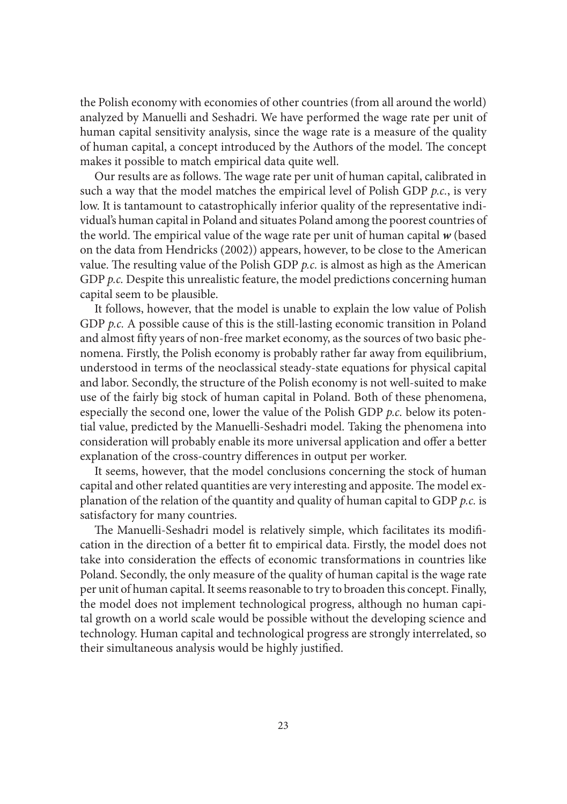the Polish economy with economies of other countries (from all around the world) analyzed by Manuelli and Seshadri. We have performed the wage rate per unit of human capital sensitivity analysis, since the wage rate is a measure of the quality of human capital, a concept introduced by the Authors of the model. The concept makes it possible to match empirical data quite well.

Our results are as follows. The wage rate per unit of human capital, calibrated in such a way that the model matches the empirical level of Polish GDP *p.c.*, is very low. It is tantamount to catastrophically inferior quality of the representative individual's human capital in Poland and situates Poland among the poorest countries of the world. The empirical value of the wage rate per unit of human capital  $w$  (based on the data from Hendricks (2002)) appears, however, to be close to the American value. The resulting value of the Polish GDP  $p.c.$  is almost as high as the American GDP *p.c.* Despite this unrealistic feature, the model predictions concerning human capital seem to be plausible.

It follows, however, that the model is unable to explain the low value of Polish GDP *p.c.* A possible cause of this is the still-lasting economic transition in Poland and almost fifty years of non-free market economy, as the sources of two basic phenomena. Firstly, the Polish economy is probably rather far away from equilibrium, understood in terms of the neoclassical steady-state equations for physical capital and labor. Secondly, the structure of the Polish economy is not well-suited to make use of the fairly big stock of human capital in Poland. Both of these phenomena, especially the second one, lower the value of the Polish GDP *p.c.* below its potential value, predicted by the Manuelli-Seshadri model. Taking the phenomena into consideration will probably enable its more universal application and offer a better explanation of the cross-country differences in output per worker.

It seems, however, that the model conclusions concerning the stock of human capital and other related quantities are very interesting and apposite. The model explanation of the relation of the quantity and quality of human capital to GDP *p.c.* is satisfactory for many countries.

The Manuelli-Seshadri model is relatively simple, which facilitates its modification in the direction of a better fi t to empirical data. Firstly, the model does not take into consideration the effects of economic transformations in countries like Poland. Secondly, the only measure of the quality of human capital is the wage rate per unit of human capital. It seems reasonable to try to broaden this concept. Finally, the model does not implement technological progress, although no human capital growth on a world scale would be possible without the developing science and technology. Human capital and technological progress are strongly interrelated, so their simultaneous analysis would be highly justified.